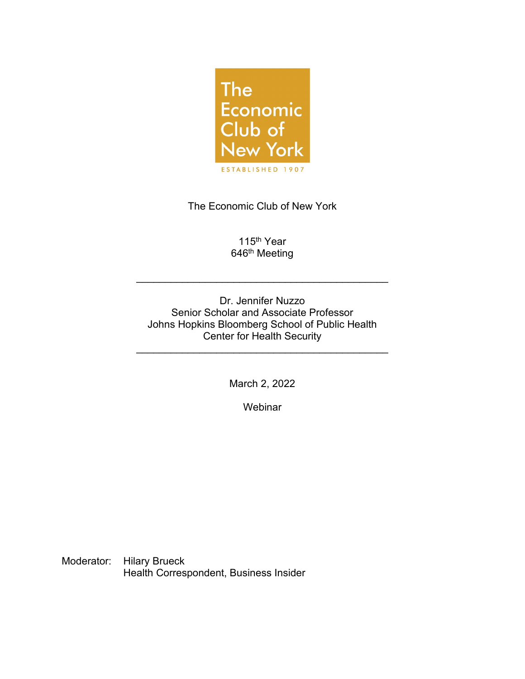

The Economic Club of New York

115<sup>th</sup> Year 646<sup>th</sup> Meeting

\_\_\_\_\_\_\_\_\_\_\_\_\_\_\_\_\_\_\_\_\_\_\_\_\_\_\_\_\_\_\_\_\_\_\_\_\_\_\_\_\_\_\_\_

Dr. Jennifer Nuzzo Senior Scholar and Associate Professor Johns Hopkins Bloomberg School of Public Health Center for Health Security

\_\_\_\_\_\_\_\_\_\_\_\_\_\_\_\_\_\_\_\_\_\_\_\_\_\_\_\_\_\_\_\_\_\_\_\_\_\_\_\_\_\_\_\_

March 2, 2022

**Webinar** 

Moderator: Hilary Brueck Health Correspondent, Business Insider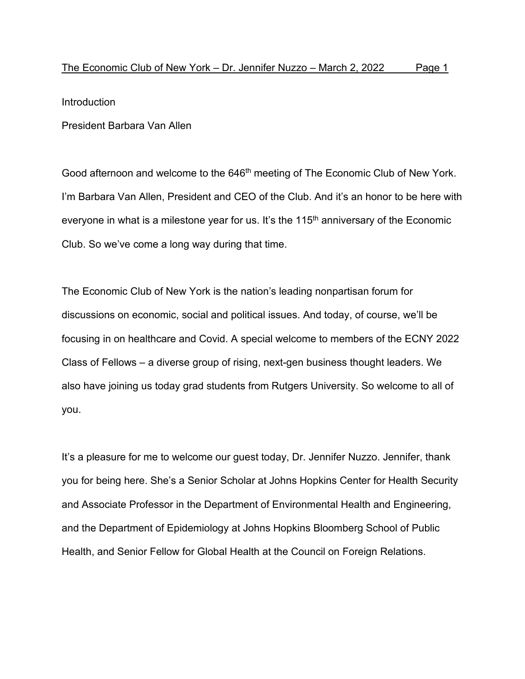Introduction

President Barbara Van Allen

Good afternoon and welcome to the 646<sup>th</sup> meeting of The Economic Club of New York. I'm Barbara Van Allen, President and CEO of the Club. And it's an honor to be here with everyone in what is a milestone year for us. It's the  $115<sup>th</sup>$  anniversary of the Economic Club. So we've come a long way during that time.

The Economic Club of New York is the nation's leading nonpartisan forum for discussions on economic, social and political issues. And today, of course, we'll be focusing in on healthcare and Covid. A special welcome to members of the ECNY 2022 Class of Fellows – a diverse group of rising, next-gen business thought leaders. We also have joining us today grad students from Rutgers University. So welcome to all of you.

It's a pleasure for me to welcome our guest today, Dr. Jennifer Nuzzo. Jennifer, thank you for being here. She's a Senior Scholar at Johns Hopkins Center for Health Security and Associate Professor in the Department of Environmental Health and Engineering, and the Department of Epidemiology at Johns Hopkins Bloomberg School of Public Health, and Senior Fellow for Global Health at the Council on Foreign Relations.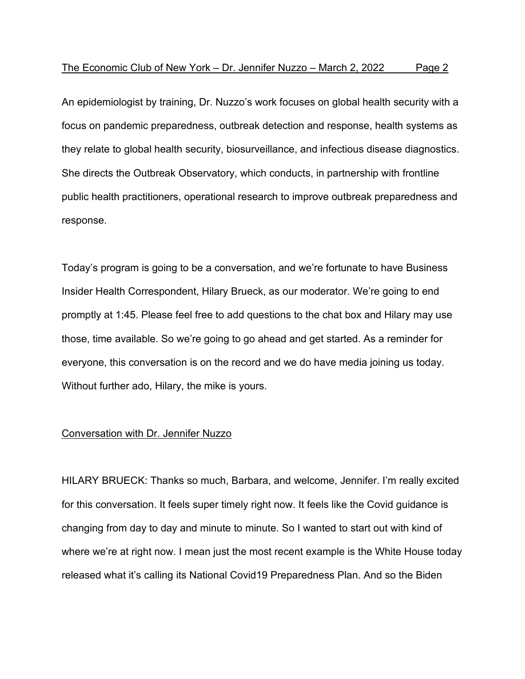An epidemiologist by training, Dr. Nuzzo's work focuses on global health security with a focus on pandemic preparedness, outbreak detection and response, health systems as they relate to global health security, biosurveillance, and infectious disease diagnostics. She directs the Outbreak Observatory, which conducts, in partnership with frontline public health practitioners, operational research to improve outbreak preparedness and response.

Today's program is going to be a conversation, and we're fortunate to have Business Insider Health Correspondent, Hilary Brueck, as our moderator. We're going to end promptly at 1:45. Please feel free to add questions to the chat box and Hilary may use those, time available. So we're going to go ahead and get started. As a reminder for everyone, this conversation is on the record and we do have media joining us today. Without further ado, Hilary, the mike is yours.

## Conversation with Dr. Jennifer Nuzzo

HILARY BRUECK: Thanks so much, Barbara, and welcome, Jennifer. I'm really excited for this conversation. It feels super timely right now. It feels like the Covid guidance is changing from day to day and minute to minute. So I wanted to start out with kind of where we're at right now. I mean just the most recent example is the White House today released what it's calling its National Covid19 Preparedness Plan. And so the Biden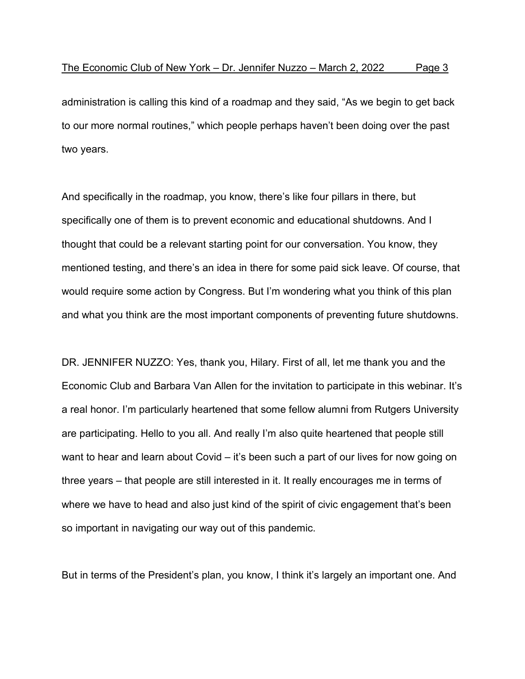administration is calling this kind of a roadmap and they said, "As we begin to get back to our more normal routines," which people perhaps haven't been doing over the past two years.

And specifically in the roadmap, you know, there's like four pillars in there, but specifically one of them is to prevent economic and educational shutdowns. And I thought that could be a relevant starting point for our conversation. You know, they mentioned testing, and there's an idea in there for some paid sick leave. Of course, that would require some action by Congress. But I'm wondering what you think of this plan and what you think are the most important components of preventing future shutdowns.

DR. JENNIFER NUZZO: Yes, thank you, Hilary. First of all, let me thank you and the Economic Club and Barbara Van Allen for the invitation to participate in this webinar. It's a real honor. I'm particularly heartened that some fellow alumni from Rutgers University are participating. Hello to you all. And really I'm also quite heartened that people still want to hear and learn about Covid – it's been such a part of our lives for now going on three years – that people are still interested in it. It really encourages me in terms of where we have to head and also just kind of the spirit of civic engagement that's been so important in navigating our way out of this pandemic.

But in terms of the President's plan, you know, I think it's largely an important one. And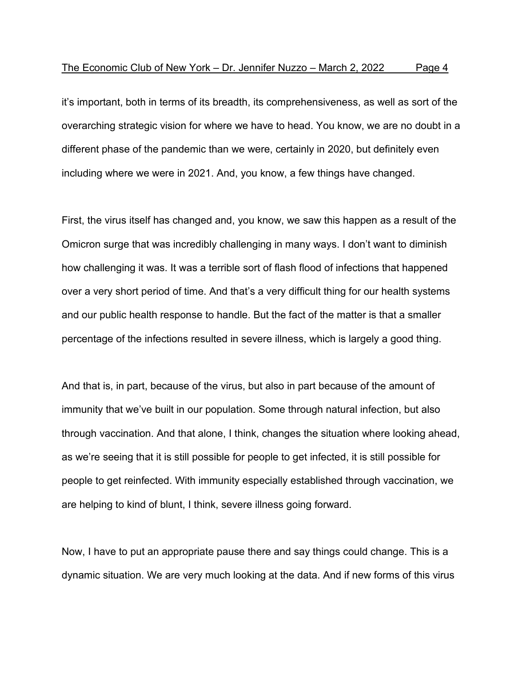it's important, both in terms of its breadth, its comprehensiveness, as well as sort of the overarching strategic vision for where we have to head. You know, we are no doubt in a different phase of the pandemic than we were, certainly in 2020, but definitely even including where we were in 2021. And, you know, a few things have changed.

First, the virus itself has changed and, you know, we saw this happen as a result of the Omicron surge that was incredibly challenging in many ways. I don't want to diminish how challenging it was. It was a terrible sort of flash flood of infections that happened over a very short period of time. And that's a very difficult thing for our health systems and our public health response to handle. But the fact of the matter is that a smaller percentage of the infections resulted in severe illness, which is largely a good thing.

And that is, in part, because of the virus, but also in part because of the amount of immunity that we've built in our population. Some through natural infection, but also through vaccination. And that alone, I think, changes the situation where looking ahead, as we're seeing that it is still possible for people to get infected, it is still possible for people to get reinfected. With immunity especially established through vaccination, we are helping to kind of blunt, I think, severe illness going forward.

Now, I have to put an appropriate pause there and say things could change. This is a dynamic situation. We are very much looking at the data. And if new forms of this virus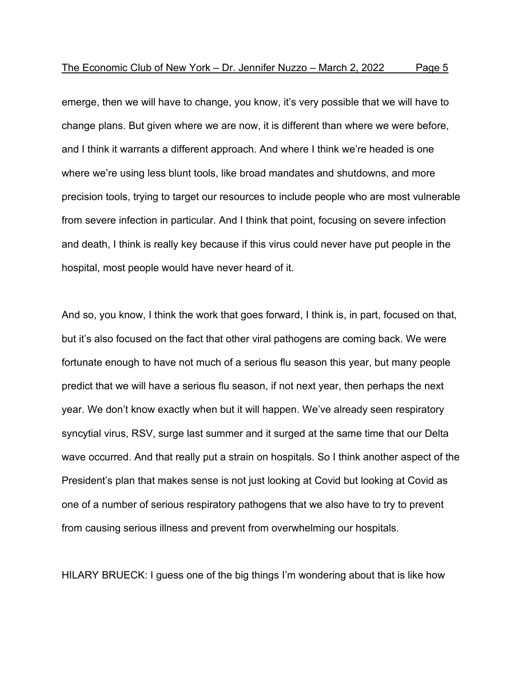emerge, then we will have to change, you know, it's very possible that we will have to change plans. But given where we are now, it is different than where we were before, and I think it warrants a different approach. And where I think we're headed is one where we're using less blunt tools, like broad mandates and shutdowns, and more precision tools, trying to target our resources to include people who are most vulnerable from severe infection in particular. And I think that point, focusing on severe infection and death, I think is really key because if this virus could never have put people in the hospital, most people would have never heard of it.

And so, you know, I think the work that goes forward, I think is, in part, focused on that, but it's also focused on the fact that other viral pathogens are coming back. We were fortunate enough to have not much of a serious flu season this year, but many people predict that we will have a serious flu season, if not next year, then perhaps the next year. We don't know exactly when but it will happen. We've already seen respiratory syncytial virus, RSV, surge last summer and it surged at the same time that our Delta wave occurred. And that really put a strain on hospitals. So I think another aspect of the President's plan that makes sense is not just looking at Covid but looking at Covid as one of a number of serious respiratory pathogens that we also have to try to prevent from causing serious illness and prevent from overwhelming our hospitals.

HILARY BRUECK: I guess one of the big things I'm wondering about that is like how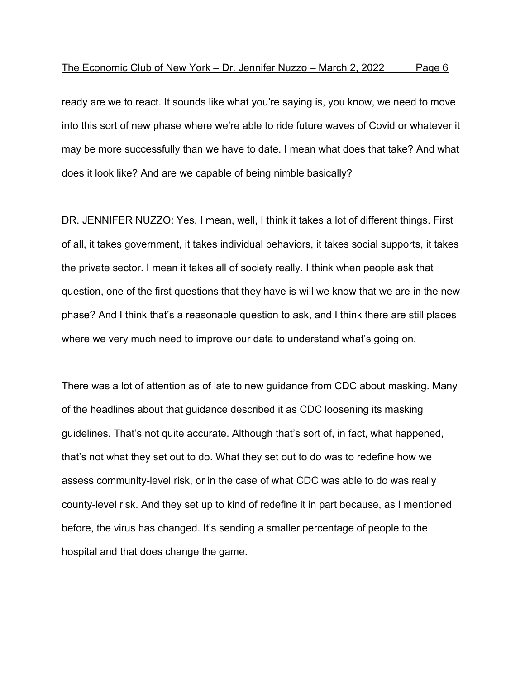ready are we to react. It sounds like what you're saying is, you know, we need to move into this sort of new phase where we're able to ride future waves of Covid or whatever it may be more successfully than we have to date. I mean what does that take? And what does it look like? And are we capable of being nimble basically?

DR. JENNIFER NUZZO: Yes, I mean, well, I think it takes a lot of different things. First of all, it takes government, it takes individual behaviors, it takes social supports, it takes the private sector. I mean it takes all of society really. I think when people ask that question, one of the first questions that they have is will we know that we are in the new phase? And I think that's a reasonable question to ask, and I think there are still places where we very much need to improve our data to understand what's going on.

There was a lot of attention as of late to new guidance from CDC about masking. Many of the headlines about that guidance described it as CDC loosening its masking guidelines. That's not quite accurate. Although that's sort of, in fact, what happened, that's not what they set out to do. What they set out to do was to redefine how we assess community-level risk, or in the case of what CDC was able to do was really county-level risk. And they set up to kind of redefine it in part because, as I mentioned before, the virus has changed. It's sending a smaller percentage of people to the hospital and that does change the game.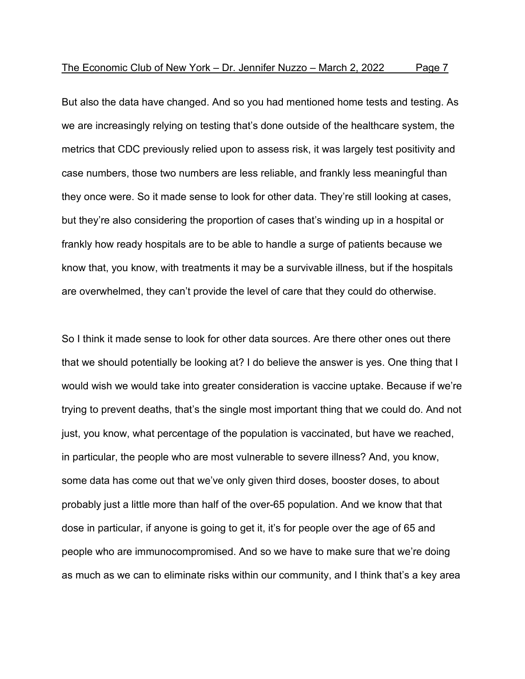But also the data have changed. And so you had mentioned home tests and testing. As we are increasingly relying on testing that's done outside of the healthcare system, the metrics that CDC previously relied upon to assess risk, it was largely test positivity and case numbers, those two numbers are less reliable, and frankly less meaningful than they once were. So it made sense to look for other data. They're still looking at cases, but they're also considering the proportion of cases that's winding up in a hospital or frankly how ready hospitals are to be able to handle a surge of patients because we know that, you know, with treatments it may be a survivable illness, but if the hospitals are overwhelmed, they can't provide the level of care that they could do otherwise.

So I think it made sense to look for other data sources. Are there other ones out there that we should potentially be looking at? I do believe the answer is yes. One thing that I would wish we would take into greater consideration is vaccine uptake. Because if we're trying to prevent deaths, that's the single most important thing that we could do. And not just, you know, what percentage of the population is vaccinated, but have we reached, in particular, the people who are most vulnerable to severe illness? And, you know, some data has come out that we've only given third doses, booster doses, to about probably just a little more than half of the over-65 population. And we know that that dose in particular, if anyone is going to get it, it's for people over the age of 65 and people who are immunocompromised. And so we have to make sure that we're doing as much as we can to eliminate risks within our community, and I think that's a key area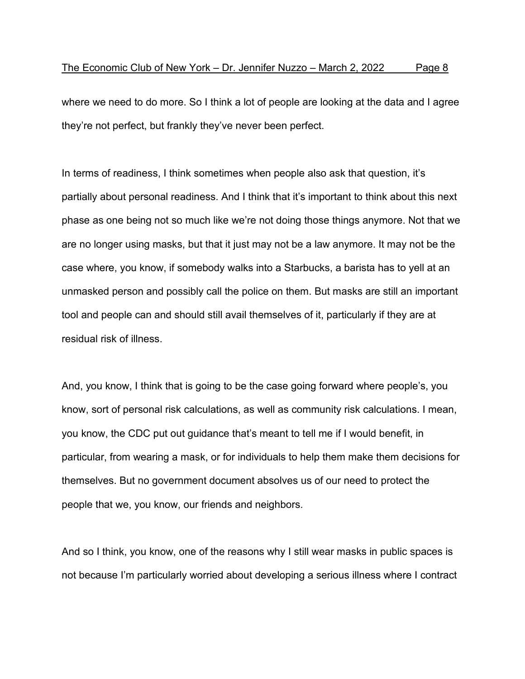where we need to do more. So I think a lot of people are looking at the data and I agree they're not perfect, but frankly they've never been perfect.

In terms of readiness, I think sometimes when people also ask that question, it's partially about personal readiness. And I think that it's important to think about this next phase as one being not so much like we're not doing those things anymore. Not that we are no longer using masks, but that it just may not be a law anymore. It may not be the case where, you know, if somebody walks into a Starbucks, a barista has to yell at an unmasked person and possibly call the police on them. But masks are still an important tool and people can and should still avail themselves of it, particularly if they are at residual risk of illness.

And, you know, I think that is going to be the case going forward where people's, you know, sort of personal risk calculations, as well as community risk calculations. I mean, you know, the CDC put out guidance that's meant to tell me if I would benefit, in particular, from wearing a mask, or for individuals to help them make them decisions for themselves. But no government document absolves us of our need to protect the people that we, you know, our friends and neighbors.

And so I think, you know, one of the reasons why I still wear masks in public spaces is not because I'm particularly worried about developing a serious illness where I contract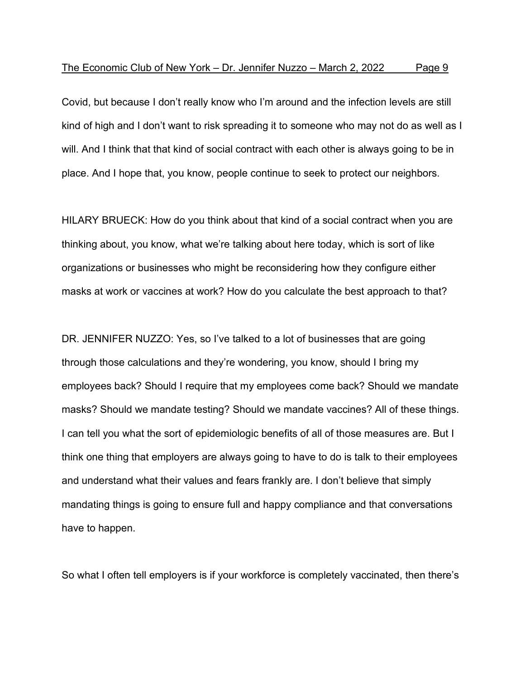Covid, but because I don't really know who I'm around and the infection levels are still kind of high and I don't want to risk spreading it to someone who may not do as well as I will. And I think that that kind of social contract with each other is always going to be in place. And I hope that, you know, people continue to seek to protect our neighbors.

HILARY BRUECK: How do you think about that kind of a social contract when you are thinking about, you know, what we're talking about here today, which is sort of like organizations or businesses who might be reconsidering how they configure either masks at work or vaccines at work? How do you calculate the best approach to that?

DR. JENNIFER NUZZO: Yes, so I've talked to a lot of businesses that are going through those calculations and they're wondering, you know, should I bring my employees back? Should I require that my employees come back? Should we mandate masks? Should we mandate testing? Should we mandate vaccines? All of these things. I can tell you what the sort of epidemiologic benefits of all of those measures are. But I think one thing that employers are always going to have to do is talk to their employees and understand what their values and fears frankly are. I don't believe that simply mandating things is going to ensure full and happy compliance and that conversations have to happen.

So what I often tell employers is if your workforce is completely vaccinated, then there's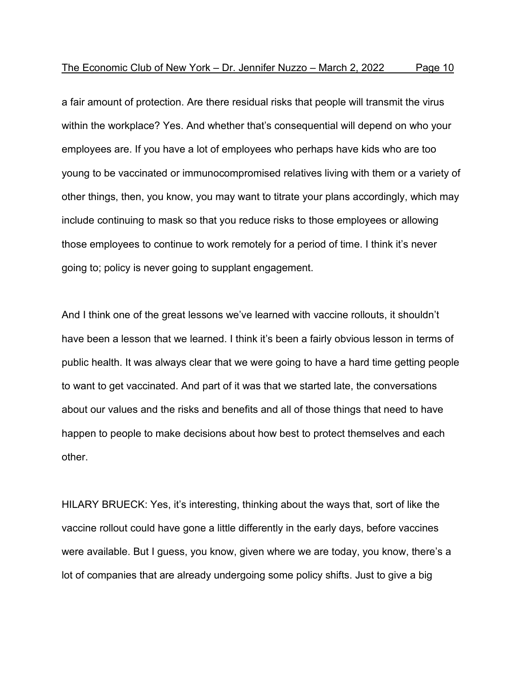a fair amount of protection. Are there residual risks that people will transmit the virus within the workplace? Yes. And whether that's consequential will depend on who your employees are. If you have a lot of employees who perhaps have kids who are too young to be vaccinated or immunocompromised relatives living with them or a variety of other things, then, you know, you may want to titrate your plans accordingly, which may include continuing to mask so that you reduce risks to those employees or allowing those employees to continue to work remotely for a period of time. I think it's never going to; policy is never going to supplant engagement.

And I think one of the great lessons we've learned with vaccine rollouts, it shouldn't have been a lesson that we learned. I think it's been a fairly obvious lesson in terms of public health. It was always clear that we were going to have a hard time getting people to want to get vaccinated. And part of it was that we started late, the conversations about our values and the risks and benefits and all of those things that need to have happen to people to make decisions about how best to protect themselves and each other.

HILARY BRUECK: Yes, it's interesting, thinking about the ways that, sort of like the vaccine rollout could have gone a little differently in the early days, before vaccines were available. But I guess, you know, given where we are today, you know, there's a lot of companies that are already undergoing some policy shifts. Just to give a big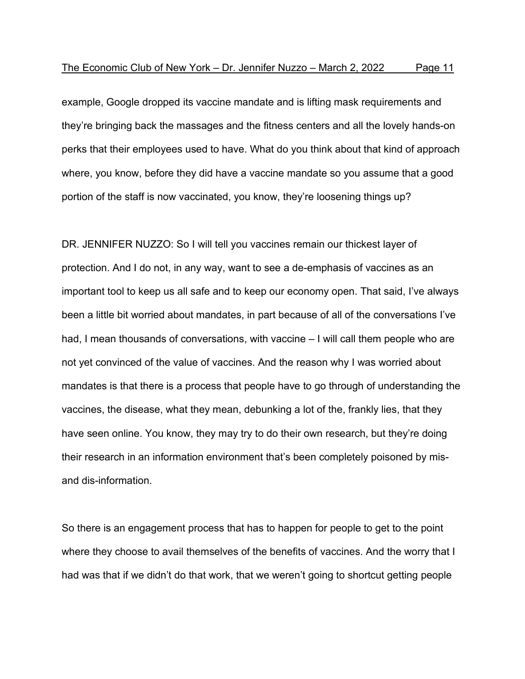example, Google dropped its vaccine mandate and is lifting mask requirements and they're bringing back the massages and the fitness centers and all the lovely hands-on perks that their employees used to have. What do you think about that kind of approach where, you know, before they did have a vaccine mandate so you assume that a good portion of the staff is now vaccinated, you know, they're loosening things up?

DR. JENNIFER NUZZO: So I will tell you vaccines remain our thickest layer of protection. And I do not, in any way, want to see a de-emphasis of vaccines as an important tool to keep us all safe and to keep our economy open. That said, I've always been a little bit worried about mandates, in part because of all of the conversations I've had, I mean thousands of conversations, with vaccine – I will call them people who are not yet convinced of the value of vaccines. And the reason why I was worried about mandates is that there is a process that people have to go through of understanding the vaccines, the disease, what they mean, debunking a lot of the, frankly lies, that they have seen online. You know, they may try to do their own research, but they're doing their research in an information environment that's been completely poisoned by misand dis-information.

So there is an engagement process that has to happen for people to get to the point where they choose to avail themselves of the benefits of vaccines. And the worry that I had was that if we didn't do that work, that we weren't going to shortcut getting people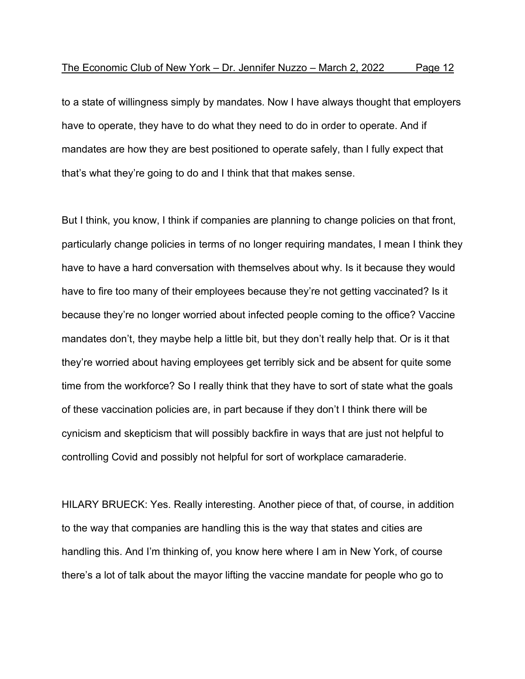to a state of willingness simply by mandates. Now I have always thought that employers have to operate, they have to do what they need to do in order to operate. And if mandates are how they are best positioned to operate safely, than I fully expect that that's what they're going to do and I think that that makes sense.

But I think, you know, I think if companies are planning to change policies on that front, particularly change policies in terms of no longer requiring mandates, I mean I think they have to have a hard conversation with themselves about why. Is it because they would have to fire too many of their employees because they're not getting vaccinated? Is it because they're no longer worried about infected people coming to the office? Vaccine mandates don't, they maybe help a little bit, but they don't really help that. Or is it that they're worried about having employees get terribly sick and be absent for quite some time from the workforce? So I really think that they have to sort of state what the goals of these vaccination policies are, in part because if they don't I think there will be cynicism and skepticism that will possibly backfire in ways that are just not helpful to controlling Covid and possibly not helpful for sort of workplace camaraderie.

HILARY BRUECK: Yes. Really interesting. Another piece of that, of course, in addition to the way that companies are handling this is the way that states and cities are handling this. And I'm thinking of, you know here where I am in New York, of course there's a lot of talk about the mayor lifting the vaccine mandate for people who go to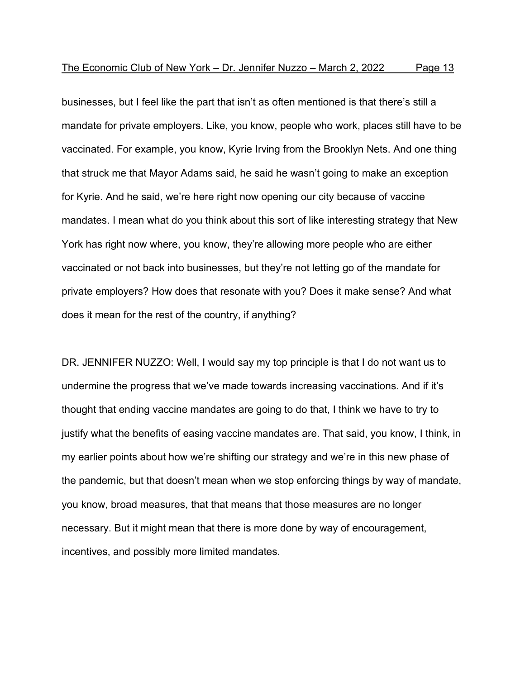businesses, but I feel like the part that isn't as often mentioned is that there's still a mandate for private employers. Like, you know, people who work, places still have to be vaccinated. For example, you know, Kyrie Irving from the Brooklyn Nets. And one thing that struck me that Mayor Adams said, he said he wasn't going to make an exception for Kyrie. And he said, we're here right now opening our city because of vaccine mandates. I mean what do you think about this sort of like interesting strategy that New York has right now where, you know, they're allowing more people who are either vaccinated or not back into businesses, but they're not letting go of the mandate for private employers? How does that resonate with you? Does it make sense? And what does it mean for the rest of the country, if anything?

DR. JENNIFER NUZZO: Well, I would say my top principle is that I do not want us to undermine the progress that we've made towards increasing vaccinations. And if it's thought that ending vaccine mandates are going to do that, I think we have to try to justify what the benefits of easing vaccine mandates are. That said, you know, I think, in my earlier points about how we're shifting our strategy and we're in this new phase of the pandemic, but that doesn't mean when we stop enforcing things by way of mandate, you know, broad measures, that that means that those measures are no longer necessary. But it might mean that there is more done by way of encouragement, incentives, and possibly more limited mandates.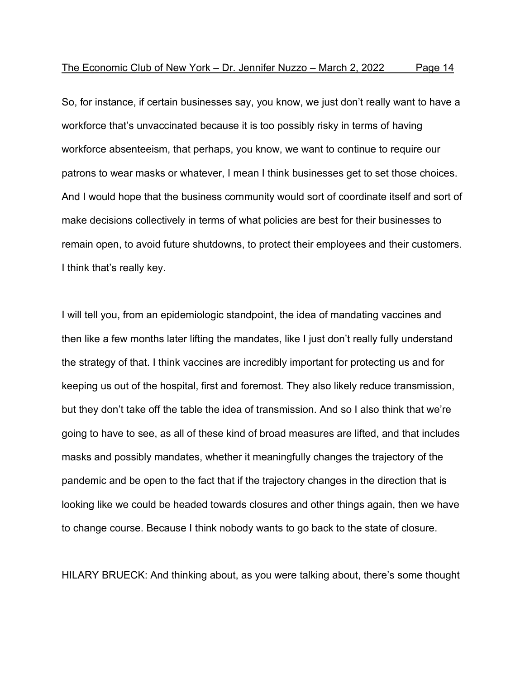So, for instance, if certain businesses say, you know, we just don't really want to have a workforce that's unvaccinated because it is too possibly risky in terms of having workforce absenteeism, that perhaps, you know, we want to continue to require our patrons to wear masks or whatever, I mean I think businesses get to set those choices. And I would hope that the business community would sort of coordinate itself and sort of make decisions collectively in terms of what policies are best for their businesses to remain open, to avoid future shutdowns, to protect their employees and their customers. I think that's really key.

I will tell you, from an epidemiologic standpoint, the idea of mandating vaccines and then like a few months later lifting the mandates, like I just don't really fully understand the strategy of that. I think vaccines are incredibly important for protecting us and for keeping us out of the hospital, first and foremost. They also likely reduce transmission, but they don't take off the table the idea of transmission. And so I also think that we're going to have to see, as all of these kind of broad measures are lifted, and that includes masks and possibly mandates, whether it meaningfully changes the trajectory of the pandemic and be open to the fact that if the trajectory changes in the direction that is looking like we could be headed towards closures and other things again, then we have to change course. Because I think nobody wants to go back to the state of closure.

HILARY BRUECK: And thinking about, as you were talking about, there's some thought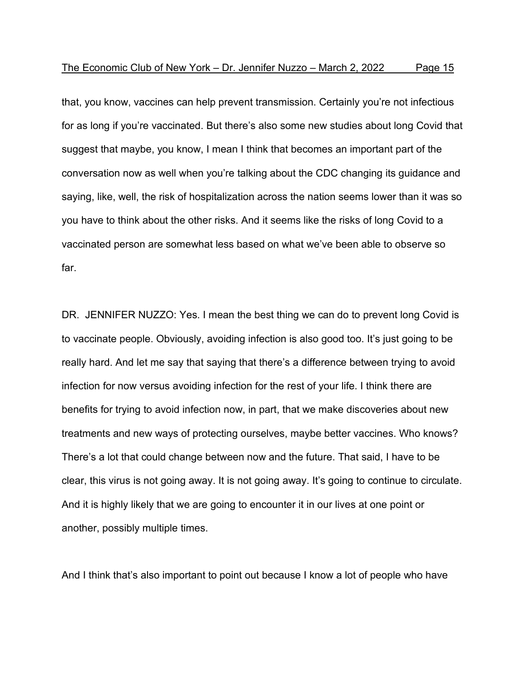that, you know, vaccines can help prevent transmission. Certainly you're not infectious for as long if you're vaccinated. But there's also some new studies about long Covid that suggest that maybe, you know, I mean I think that becomes an important part of the conversation now as well when you're talking about the CDC changing its guidance and saying, like, well, the risk of hospitalization across the nation seems lower than it was so you have to think about the other risks. And it seems like the risks of long Covid to a vaccinated person are somewhat less based on what we've been able to observe so far.

DR. JENNIFER NUZZO: Yes. I mean the best thing we can do to prevent long Covid is to vaccinate people. Obviously, avoiding infection is also good too. It's just going to be really hard. And let me say that saying that there's a difference between trying to avoid infection for now versus avoiding infection for the rest of your life. I think there are benefits for trying to avoid infection now, in part, that we make discoveries about new treatments and new ways of protecting ourselves, maybe better vaccines. Who knows? There's a lot that could change between now and the future. That said, I have to be clear, this virus is not going away. It is not going away. It's going to continue to circulate. And it is highly likely that we are going to encounter it in our lives at one point or another, possibly multiple times.

And I think that's also important to point out because I know a lot of people who have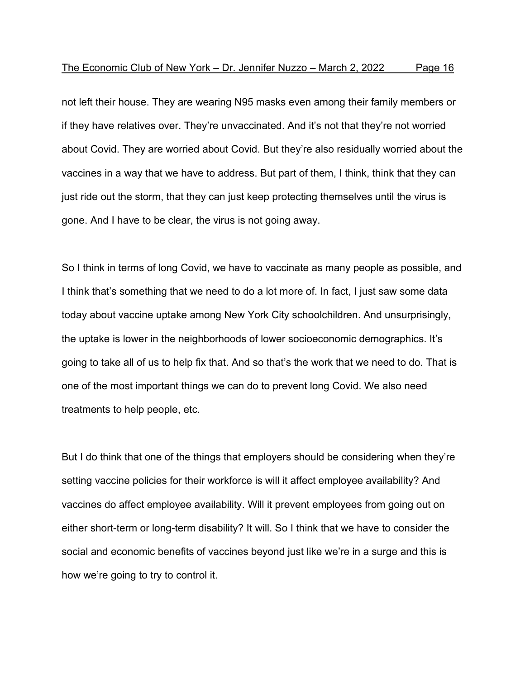not left their house. They are wearing N95 masks even among their family members or if they have relatives over. They're unvaccinated. And it's not that they're not worried about Covid. They are worried about Covid. But they're also residually worried about the vaccines in a way that we have to address. But part of them, I think, think that they can just ride out the storm, that they can just keep protecting themselves until the virus is gone. And I have to be clear, the virus is not going away.

So I think in terms of long Covid, we have to vaccinate as many people as possible, and I think that's something that we need to do a lot more of. In fact, I just saw some data today about vaccine uptake among New York City schoolchildren. And unsurprisingly, the uptake is lower in the neighborhoods of lower socioeconomic demographics. It's going to take all of us to help fix that. And so that's the work that we need to do. That is one of the most important things we can do to prevent long Covid. We also need treatments to help people, etc.

But I do think that one of the things that employers should be considering when they're setting vaccine policies for their workforce is will it affect employee availability? And vaccines do affect employee availability. Will it prevent employees from going out on either short-term or long-term disability? It will. So I think that we have to consider the social and economic benefits of vaccines beyond just like we're in a surge and this is how we're going to try to control it.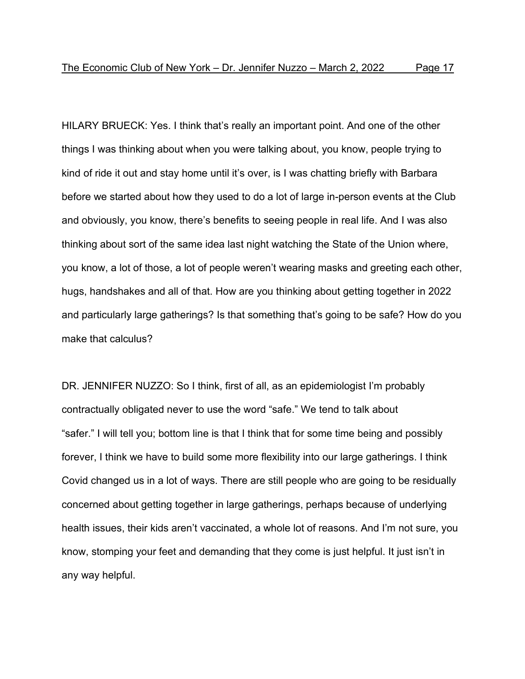HILARY BRUECK: Yes. I think that's really an important point. And one of the other things I was thinking about when you were talking about, you know, people trying to kind of ride it out and stay home until it's over, is I was chatting briefly with Barbara before we started about how they used to do a lot of large in-person events at the Club and obviously, you know, there's benefits to seeing people in real life. And I was also thinking about sort of the same idea last night watching the State of the Union where, you know, a lot of those, a lot of people weren't wearing masks and greeting each other, hugs, handshakes and all of that. How are you thinking about getting together in 2022 and particularly large gatherings? Is that something that's going to be safe? How do you make that calculus?

DR. JENNIFER NUZZO: So I think, first of all, as an epidemiologist I'm probably contractually obligated never to use the word "safe." We tend to talk about "safer." I will tell you; bottom line is that I think that for some time being and possibly forever, I think we have to build some more flexibility into our large gatherings. I think Covid changed us in a lot of ways. There are still people who are going to be residually concerned about getting together in large gatherings, perhaps because of underlying health issues, their kids aren't vaccinated, a whole lot of reasons. And I'm not sure, you know, stomping your feet and demanding that they come is just helpful. It just isn't in any way helpful.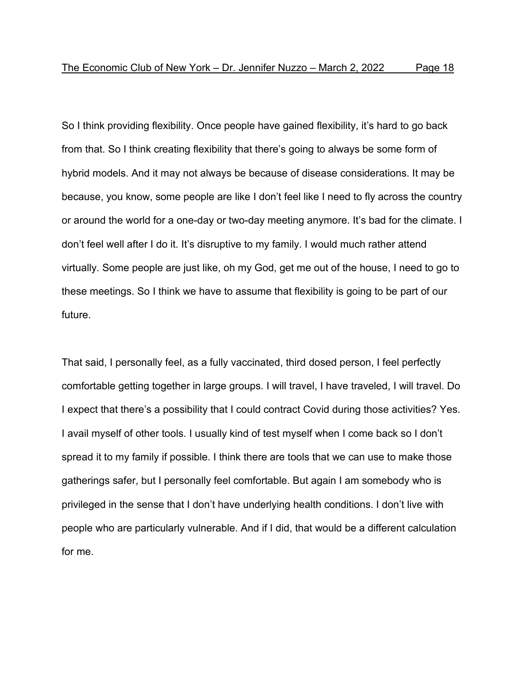So I think providing flexibility. Once people have gained flexibility, it's hard to go back from that. So I think creating flexibility that there's going to always be some form of hybrid models. And it may not always be because of disease considerations. It may be because, you know, some people are like I don't feel like I need to fly across the country or around the world for a one-day or two-day meeting anymore. It's bad for the climate. I don't feel well after I do it. It's disruptive to my family. I would much rather attend virtually. Some people are just like, oh my God, get me out of the house, I need to go to these meetings. So I think we have to assume that flexibility is going to be part of our future.

That said, I personally feel, as a fully vaccinated, third dosed person, I feel perfectly comfortable getting together in large groups. I will travel, I have traveled, I will travel. Do I expect that there's a possibility that I could contract Covid during those activities? Yes. I avail myself of other tools. I usually kind of test myself when I come back so I don't spread it to my family if possible. I think there are tools that we can use to make those gatherings safer, but I personally feel comfortable. But again I am somebody who is privileged in the sense that I don't have underlying health conditions. I don't live with people who are particularly vulnerable. And if I did, that would be a different calculation for me.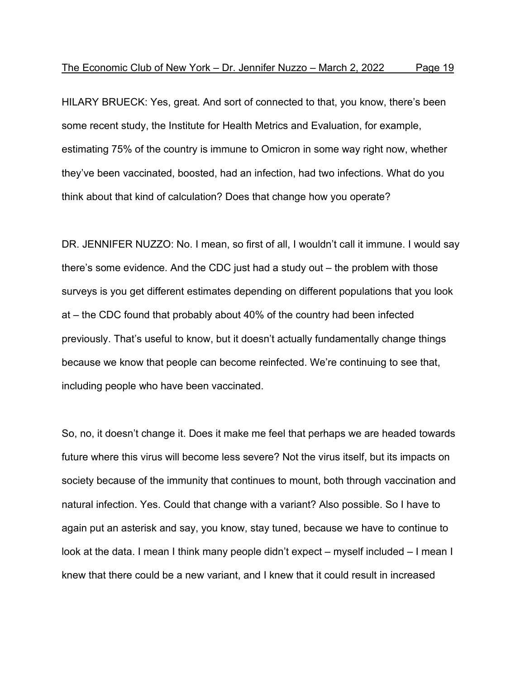HILARY BRUECK: Yes, great. And sort of connected to that, you know, there's been some recent study, the Institute for Health Metrics and Evaluation, for example, estimating 75% of the country is immune to Omicron in some way right now, whether they've been vaccinated, boosted, had an infection, had two infections. What do you think about that kind of calculation? Does that change how you operate?

DR. JENNIFER NUZZO: No. I mean, so first of all, I wouldn't call it immune. I would say there's some evidence. And the CDC just had a study out – the problem with those surveys is you get different estimates depending on different populations that you look at – the CDC found that probably about 40% of the country had been infected previously. That's useful to know, but it doesn't actually fundamentally change things because we know that people can become reinfected. We're continuing to see that, including people who have been vaccinated.

So, no, it doesn't change it. Does it make me feel that perhaps we are headed towards future where this virus will become less severe? Not the virus itself, but its impacts on society because of the immunity that continues to mount, both through vaccination and natural infection. Yes. Could that change with a variant? Also possible. So I have to again put an asterisk and say, you know, stay tuned, because we have to continue to look at the data. I mean I think many people didn't expect – myself included – I mean I knew that there could be a new variant, and I knew that it could result in increased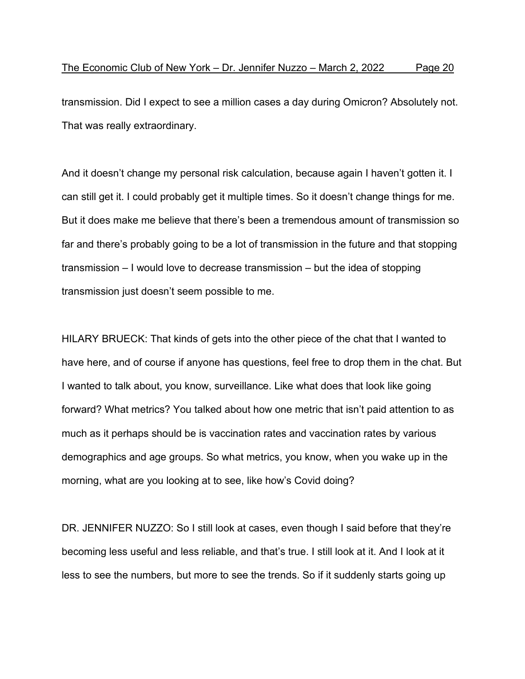transmission. Did I expect to see a million cases a day during Omicron? Absolutely not. That was really extraordinary.

And it doesn't change my personal risk calculation, because again I haven't gotten it. I can still get it. I could probably get it multiple times. So it doesn't change things for me. But it does make me believe that there's been a tremendous amount of transmission so far and there's probably going to be a lot of transmission in the future and that stopping transmission – I would love to decrease transmission – but the idea of stopping transmission just doesn't seem possible to me.

HILARY BRUECK: That kinds of gets into the other piece of the chat that I wanted to have here, and of course if anyone has questions, feel free to drop them in the chat. But I wanted to talk about, you know, surveillance. Like what does that look like going forward? What metrics? You talked about how one metric that isn't paid attention to as much as it perhaps should be is vaccination rates and vaccination rates by various demographics and age groups. So what metrics, you know, when you wake up in the morning, what are you looking at to see, like how's Covid doing?

DR. JENNIFER NUZZO: So I still look at cases, even though I said before that they're becoming less useful and less reliable, and that's true. I still look at it. And I look at it less to see the numbers, but more to see the trends. So if it suddenly starts going up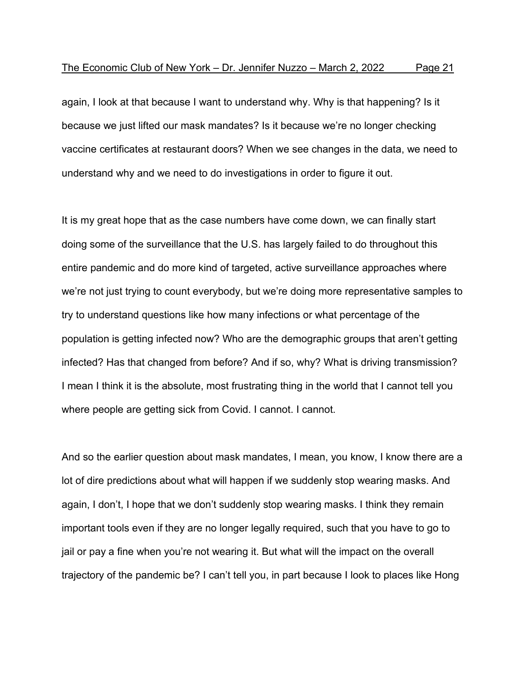again, I look at that because I want to understand why. Why is that happening? Is it because we just lifted our mask mandates? Is it because we're no longer checking vaccine certificates at restaurant doors? When we see changes in the data, we need to understand why and we need to do investigations in order to figure it out.

It is my great hope that as the case numbers have come down, we can finally start doing some of the surveillance that the U.S. has largely failed to do throughout this entire pandemic and do more kind of targeted, active surveillance approaches where we're not just trying to count everybody, but we're doing more representative samples to try to understand questions like how many infections or what percentage of the population is getting infected now? Who are the demographic groups that aren't getting infected? Has that changed from before? And if so, why? What is driving transmission? I mean I think it is the absolute, most frustrating thing in the world that I cannot tell you where people are getting sick from Covid. I cannot. I cannot.

And so the earlier question about mask mandates, I mean, you know, I know there are a lot of dire predictions about what will happen if we suddenly stop wearing masks. And again, I don't, I hope that we don't suddenly stop wearing masks. I think they remain important tools even if they are no longer legally required, such that you have to go to jail or pay a fine when you're not wearing it. But what will the impact on the overall trajectory of the pandemic be? I can't tell you, in part because I look to places like Hong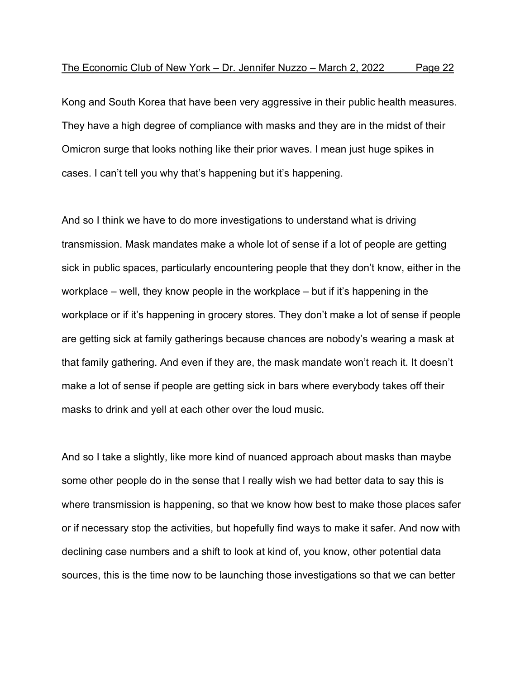Kong and South Korea that have been very aggressive in their public health measures. They have a high degree of compliance with masks and they are in the midst of their Omicron surge that looks nothing like their prior waves. I mean just huge spikes in cases. I can't tell you why that's happening but it's happening.

And so I think we have to do more investigations to understand what is driving transmission. Mask mandates make a whole lot of sense if a lot of people are getting sick in public spaces, particularly encountering people that they don't know, either in the workplace – well, they know people in the workplace – but if it's happening in the workplace or if it's happening in grocery stores. They don't make a lot of sense if people are getting sick at family gatherings because chances are nobody's wearing a mask at that family gathering. And even if they are, the mask mandate won't reach it. It doesn't make a lot of sense if people are getting sick in bars where everybody takes off their masks to drink and yell at each other over the loud music.

And so I take a slightly, like more kind of nuanced approach about masks than maybe some other people do in the sense that I really wish we had better data to say this is where transmission is happening, so that we know how best to make those places safer or if necessary stop the activities, but hopefully find ways to make it safer. And now with declining case numbers and a shift to look at kind of, you know, other potential data sources, this is the time now to be launching those investigations so that we can better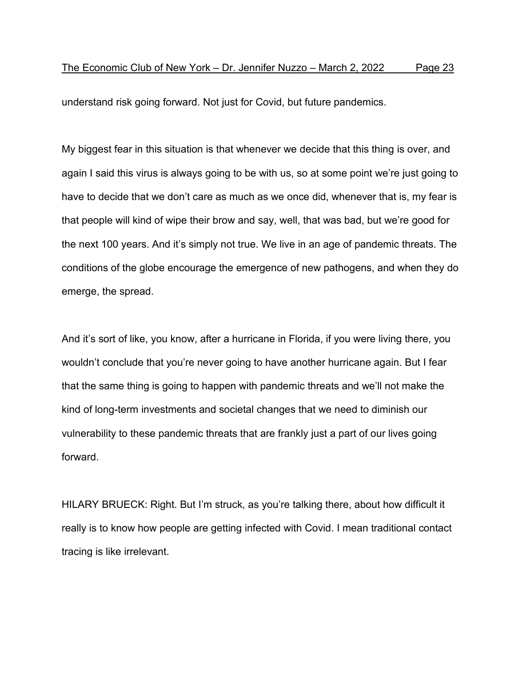understand risk going forward. Not just for Covid, but future pandemics.

My biggest fear in this situation is that whenever we decide that this thing is over, and again I said this virus is always going to be with us, so at some point we're just going to have to decide that we don't care as much as we once did, whenever that is, my fear is that people will kind of wipe their brow and say, well, that was bad, but we're good for the next 100 years. And it's simply not true. We live in an age of pandemic threats. The conditions of the globe encourage the emergence of new pathogens, and when they do emerge, the spread.

And it's sort of like, you know, after a hurricane in Florida, if you were living there, you wouldn't conclude that you're never going to have another hurricane again. But I fear that the same thing is going to happen with pandemic threats and we'll not make the kind of long-term investments and societal changes that we need to diminish our vulnerability to these pandemic threats that are frankly just a part of our lives going forward.

HILARY BRUECK: Right. But I'm struck, as you're talking there, about how difficult it really is to know how people are getting infected with Covid. I mean traditional contact tracing is like irrelevant.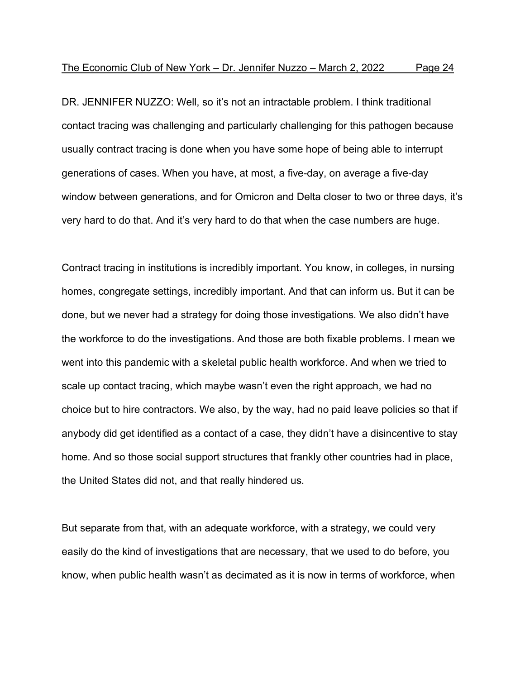DR. JENNIFER NUZZO: Well, so it's not an intractable problem. I think traditional contact tracing was challenging and particularly challenging for this pathogen because usually contract tracing is done when you have some hope of being able to interrupt generations of cases. When you have, at most, a five-day, on average a five-day window between generations, and for Omicron and Delta closer to two or three days, it's very hard to do that. And it's very hard to do that when the case numbers are huge.

Contract tracing in institutions is incredibly important. You know, in colleges, in nursing homes, congregate settings, incredibly important. And that can inform us. But it can be done, but we never had a strategy for doing those investigations. We also didn't have the workforce to do the investigations. And those are both fixable problems. I mean we went into this pandemic with a skeletal public health workforce. And when we tried to scale up contact tracing, which maybe wasn't even the right approach, we had no choice but to hire contractors. We also, by the way, had no paid leave policies so that if anybody did get identified as a contact of a case, they didn't have a disincentive to stay home. And so those social support structures that frankly other countries had in place, the United States did not, and that really hindered us.

But separate from that, with an adequate workforce, with a strategy, we could very easily do the kind of investigations that are necessary, that we used to do before, you know, when public health wasn't as decimated as it is now in terms of workforce, when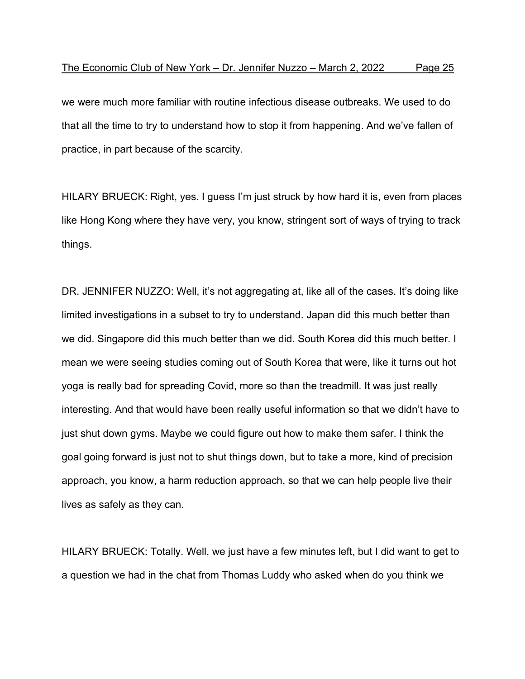we were much more familiar with routine infectious disease outbreaks. We used to do that all the time to try to understand how to stop it from happening. And we've fallen of practice, in part because of the scarcity.

HILARY BRUECK: Right, yes. I guess I'm just struck by how hard it is, even from places like Hong Kong where they have very, you know, stringent sort of ways of trying to track things.

DR. JENNIFER NUZZO: Well, it's not aggregating at, like all of the cases. It's doing like limited investigations in a subset to try to understand. Japan did this much better than we did. Singapore did this much better than we did. South Korea did this much better. I mean we were seeing studies coming out of South Korea that were, like it turns out hot yoga is really bad for spreading Covid, more so than the treadmill. It was just really interesting. And that would have been really useful information so that we didn't have to just shut down gyms. Maybe we could figure out how to make them safer. I think the goal going forward is just not to shut things down, but to take a more, kind of precision approach, you know, a harm reduction approach, so that we can help people live their lives as safely as they can.

HILARY BRUECK: Totally. Well, we just have a few minutes left, but I did want to get to a question we had in the chat from Thomas Luddy who asked when do you think we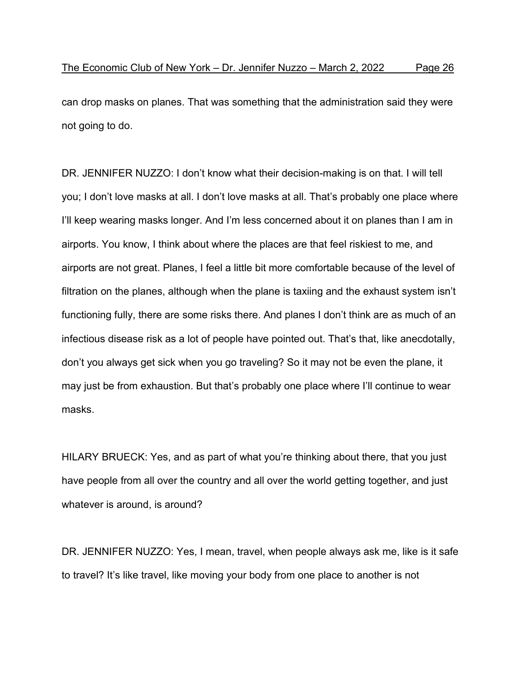can drop masks on planes. That was something that the administration said they were not going to do.

DR. JENNIFER NUZZO: I don't know what their decision-making is on that. I will tell you; I don't love masks at all. I don't love masks at all. That's probably one place where I'll keep wearing masks longer. And I'm less concerned about it on planes than I am in airports. You know, I think about where the places are that feel riskiest to me, and airports are not great. Planes, I feel a little bit more comfortable because of the level of filtration on the planes, although when the plane is taxiing and the exhaust system isn't functioning fully, there are some risks there. And planes I don't think are as much of an infectious disease risk as a lot of people have pointed out. That's that, like anecdotally, don't you always get sick when you go traveling? So it may not be even the plane, it may just be from exhaustion. But that's probably one place where I'll continue to wear masks.

HILARY BRUECK: Yes, and as part of what you're thinking about there, that you just have people from all over the country and all over the world getting together, and just whatever is around, is around?

DR. JENNIFER NUZZO: Yes, I mean, travel, when people always ask me, like is it safe to travel? It's like travel, like moving your body from one place to another is not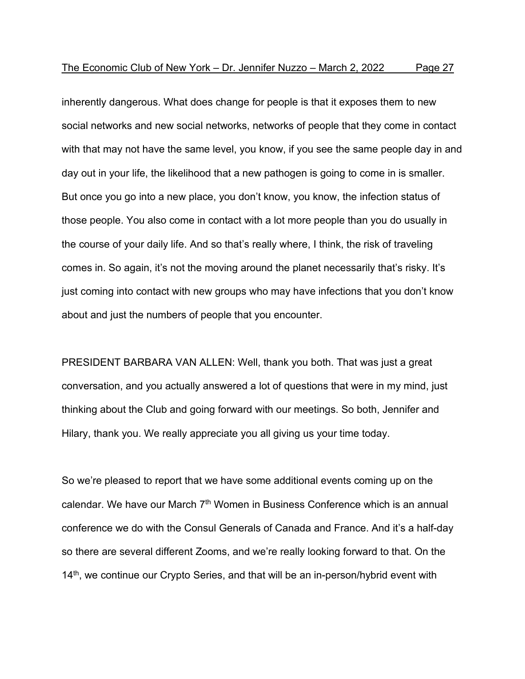inherently dangerous. What does change for people is that it exposes them to new social networks and new social networks, networks of people that they come in contact with that may not have the same level, you know, if you see the same people day in and day out in your life, the likelihood that a new pathogen is going to come in is smaller. But once you go into a new place, you don't know, you know, the infection status of those people. You also come in contact with a lot more people than you do usually in the course of your daily life. And so that's really where, I think, the risk of traveling comes in. So again, it's not the moving around the planet necessarily that's risky. It's just coming into contact with new groups who may have infections that you don't know about and just the numbers of people that you encounter.

PRESIDENT BARBARA VAN ALLEN: Well, thank you both. That was just a great conversation, and you actually answered a lot of questions that were in my mind, just thinking about the Club and going forward with our meetings. So both, Jennifer and Hilary, thank you. We really appreciate you all giving us your time today.

So we're pleased to report that we have some additional events coming up on the calendar. We have our March  $7<sup>th</sup>$  Women in Business Conference which is an annual conference we do with the Consul Generals of Canada and France. And it's a half-day so there are several different Zooms, and we're really looking forward to that. On the 14<sup>th</sup>, we continue our Crypto Series, and that will be an in-person/hybrid event with